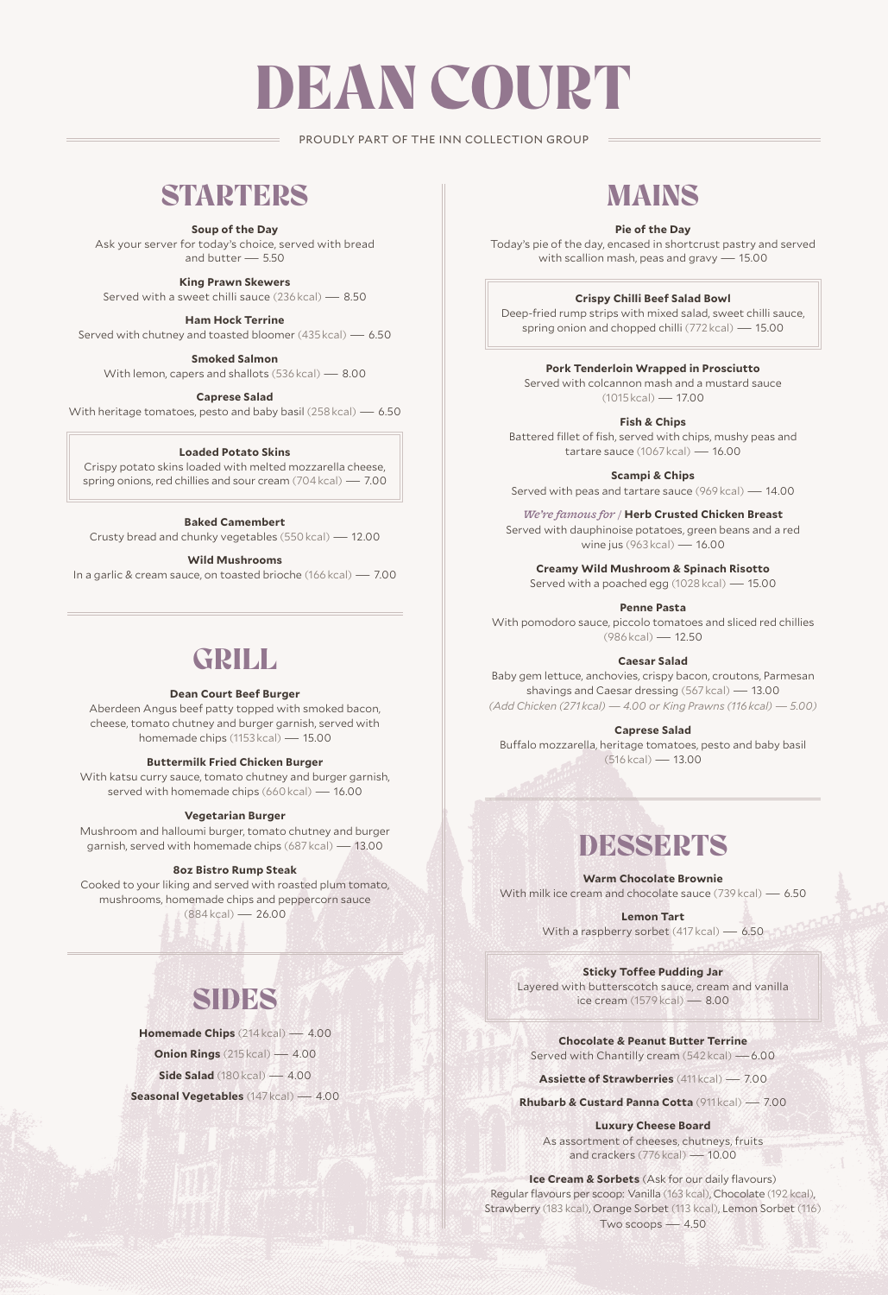# DEAN COURT

PROUDLY PART OF THE INN COLLECTION GROUP

### **STARTERS**

**Soup of the Day**

Ask your server for today's choice, served with bread and butter  $-550$ 

**King Prawn Skewers**

Served with a sweet chilli sauce (236 kcal) — 8.50

**Ham Hock Terrine** Served with chutney and toasted bloomer (435 kcal) — 6.50

**Smoked Salmon**

With lemon, capers and shallots (536 kcal) — 8.00

**Caprese Salad**

With heritage tomatoes, pesto and baby basil (258 kcal) — 6.50

#### **Loaded Potato Skins**

Crispy potato skins loaded with melted mozzarella cheese, spring onions, red chillies and sour cream (704 kcal) — 7.00

### **Baked Camembert**

Crusty bread and chunky vegetables (550 kcal) — 12.00

**Wild Mushrooms**

In a garlic & cream sauce, on toasted brioche (166 kcal) — 7.00

### GRILL

#### **Dean Court Beef Burger**

Aberdeen Angus beef patty topped with smoked bacon, cheese, tomato chutney and burger garnish, served with homemade chips (1153 kcal) — 15.00

#### **Buttermilk Fried Chicken Burger**

With katsu curry sauce, tomato chutney and burger garnish, served with homemade chips (660 kcal) — 16.00

#### **Vegetarian Burger**

Mushroom and halloumi burger, tomato chutney and burger garnish, served with homemade chips (687 kcal) — 13.00

#### **8oz Bistro Rump Steak**

Cooked to your liking and served with roasted plum tomato, mushrooms, homemade chips and peppercorn sauce (884 kcal) — 26.00

# SIDES

**Homemade Chips** (214 kcal) — 4.00

**Onion Rings** (215 kcal) — 4.00

**Side Salad** (180**kcal)** — 4.00

**Seasonal Vegetables** (147 kcal) — 4.00

### MAINS

### **Pie of the Day**

Today's pie of the day, encased in shortcrust pastry and served with scallion mash, peas and gravy — 15.00

#### **Crispy Chilli Beef Salad Bowl**

Deep-fried rump strips with mixed salad, sweet chilli sauce, spring onion and chopped chilli (772 kcal) — 15.00

**Pork Tenderloin Wrapped in Prosciutto**

Served with colcannon mash and a mustard sauce (1015 kcal) — 17.00

**Fish & Chips**

Battered fillet of fish, served with chips, mushy peas and tartare sauce (1067 kcal) — 16.00

**Scampi & Chips** 

Served with peas and tartare sauce (969 kcal) — 14.00

*We're famous for /* **Herb Crusted Chicken Breast**

Served with dauphinoise potatoes, green beans and a red wine jus (963 kcal) — 16.00

**Creamy Wild Mushroom & Spinach Risotto**

Served with a poached egg (1028 kcal) — 15.00

**Penne Pasta**

With pomodoro sauce, piccolo tomatoes and sliced red chillies (986 kcal) — 12.50

**Caesar Salad**

Baby gem lettuce, anchovies, crispy bacon, croutons, Parmesan shavings and Caesar dressing (567 kcal) — 13.00 *(Add Chicken (271 kcal) — 4.00 or King Prawns (116 kcal) — 5.00)*

**Caprese Salad**

Buffalo mozzarella, heritage tomatoes, pesto and baby basil (516 kcal) — 13.00

# **DESSERTS**

**Warm Chocolate Brownie** With milk ice cream and chocolate sauce (739 kcal) — 6.50

> **Lemon Tart** With a raspberry sorbet (417 kcal) - 6.50

> > **Sticky Toffee Pudding Jar**

Layered with butterscotch sauce, cream and vanilla ice cream (1579 kcal) — 8.00

**Chocolate & Peanut Butter Terrine** Served with Chantilly cream (542 kcal) —6.00

**Assiette of Strawberries** (411 kcal) — 7.00

**Rhubarb & Custard Panna Cotta** (911 kcal) — 7.00

**Luxury Cheese Board** As assortment of cheeses, chutneys, fruits and crackers (776 kcal) — 10.00

**Ice Cream & Sorbets** (Ask for our daily flavours) Regular flavours per scoop: Vanilla (163 kcal), Chocolate (192 kcal), Strawberry (183 kcal), Orange Sorbet (113 kcal), Lemon Sorbet (116) Two scoops — 4.50